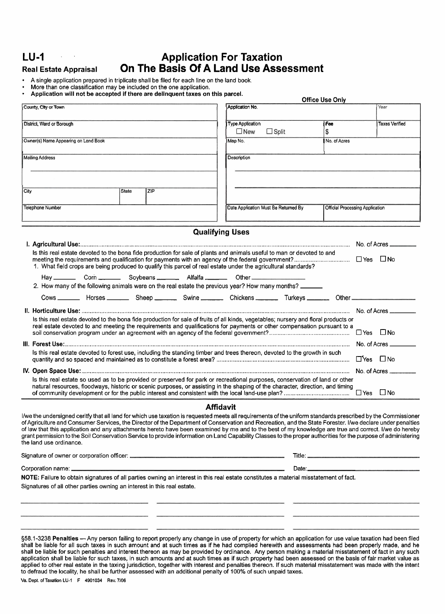## **LU-1** , . **Application For Taxation Real Estate Appraisal On The Basis Of A Land Use Assessment**

- A single application prepared in triplicate shall be filed for each line on the land book.
- More than one classification may be included on the one application.
- Application will not be accepted if there are delinquent taxes on this parcel.

|      | County, City or Town                                                                                                                |              |     |                                      | Application No.         |              |                                 |                      | Year                  |
|------|-------------------------------------------------------------------------------------------------------------------------------------|--------------|-----|--------------------------------------|-------------------------|--------------|---------------------------------|----------------------|-----------------------|
|      |                                                                                                                                     |              |     |                                      |                         |              |                                 |                      |                       |
|      | District, Ward or Borough                                                                                                           |              |     |                                      | <b>Type Application</b> |              | Fee                             |                      | <b>Taxes Verified</b> |
|      |                                                                                                                                     |              |     |                                      | $\Box$ New              | $\Box$ Split | \$                              |                      |                       |
|      | Owner(s) Name Appearing on Land Book                                                                                                |              |     |                                      | Map No.                 |              | No. of Acres                    |                      |                       |
|      |                                                                                                                                     |              |     |                                      |                         |              |                                 |                      |                       |
|      | <b>Mailing Address</b>                                                                                                              |              |     |                                      | Description             |              |                                 |                      |                       |
|      |                                                                                                                                     |              |     |                                      |                         |              |                                 |                      |                       |
|      |                                                                                                                                     |              |     |                                      |                         |              |                                 |                      |                       |
| City |                                                                                                                                     | <b>State</b> | ZIP |                                      |                         |              |                                 |                      |                       |
|      |                                                                                                                                     |              |     |                                      |                         |              |                                 |                      |                       |
|      | Telephone Number                                                                                                                    |              |     | Date Application Must Be Returned By |                         |              | Official Processing Application |                      |                       |
|      |                                                                                                                                     |              |     |                                      |                         |              |                                 |                      |                       |
|      |                                                                                                                                     |              |     |                                      |                         |              |                                 |                      |                       |
|      |                                                                                                                                     |              |     |                                      | <b>Qualifying Uses</b>  |              |                                 |                      |                       |
|      |                                                                                                                                     |              |     |                                      |                         |              |                                 |                      |                       |
|      |                                                                                                                                     |              |     |                                      |                         |              |                                 |                      |                       |
|      | Is this real estate devoted to the bona fide production for sale of plants and animals useful to man or devoted to and              |              |     |                                      |                         |              |                                 |                      |                       |
|      |                                                                                                                                     |              |     |                                      |                         |              |                                 |                      |                       |
|      | 1. What field crops are being produced to qualify this parcel of real estate under the agricultural standards?                      |              |     |                                      |                         |              |                                 |                      |                       |
|      | Hay Corn Corn Soybeans Alfalfa Collect Cher Cornell Cornel                                                                          |              |     |                                      |                         |              |                                 |                      |                       |
|      | 2. How many of the following animals were on the real estate the previous year? How many months?                                    |              |     |                                      |                         |              |                                 |                      |                       |
|      |                                                                                                                                     |              |     |                                      |                         |              |                                 |                      |                       |
|      |                                                                                                                                     |              |     |                                      |                         |              |                                 |                      | No. of Acres $\_\_$   |
|      | Is this real estate devoted to the bona fide production for sale of fruits of all kinds, vegetables; nursery and floral products or |              |     |                                      |                         |              |                                 |                      |                       |
|      | real estate devoted to and meeting the requirements and qualifications for payments or other compensation pursuant to a             |              |     |                                      |                         |              |                                 |                      |                       |
|      |                                                                                                                                     |              |     |                                      |                         |              |                                 |                      |                       |
|      |                                                                                                                                     |              |     |                                      |                         |              |                                 |                      | No. of Acres ______   |
|      | Is this real estate devoted to forest use, including the standing timber and trees thereon, devoted to the growth in such           |              |     |                                      |                         |              |                                 |                      |                       |
|      |                                                                                                                                     |              |     |                                      |                         |              |                                 | $\Box$ Yes $\Box$ No |                       |
|      |                                                                                                                                     |              |     |                                      |                         |              |                                 |                      | No. of Acres _______  |
|      | Is this real estate so used as to be provided or preserved for park or recreational purposes, conservation of land or other         |              |     |                                      |                         |              |                                 |                      |                       |
|      | natural resources, floodways, historic or scenic purposes, or assisting in the shaping of the character, direction, and timing      |              |     |                                      |                         |              |                                 |                      |                       |
|      |                                                                                                                                     |              |     |                                      |                         |              |                                 |                      |                       |

nd any attachments hereto have been examined by me and to the best of my knowledge are true and correct. I/we d grant permission to the Soil Conservation Service to provide information on Land Capability Classes to the proper authorities for the purpose of administering the land use ordinance.

Signature of owner or corporation officer: Title:

Corporation name: Date:

**NOTE:** Failure to obtain signatures of all parties owning an interest in this real estate constitutes a material misstatement of fact. Signatures of all other parties owning an interest in this real estate.

§58.1-3238 Penalties - Any person failing to report properly any change in use of property for which an application for use value taxation had been filed shall be liable for all such taxes in such amount and at such times as if he had complied herewith and assessments had been properly made, and he shall be liable for such penalties and interest thereon as may be provided by ordinance. Any person making a material misstatement of fact in any such application shall be liable for such taxes, in such amounts and at such times as if such property had been assessed on the basis of fair market value as applied to other real estate in the taxing jurisdiction, together with interest and penalties thereon. If such material misstatement was made with the intent to defraud the locality, he shall be further assessed with an additional penalty of 100% of such unpaid taxes.

Office Use Only